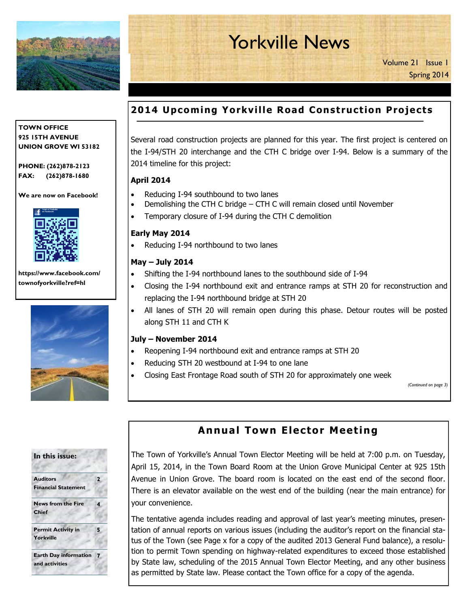

# Yorkville News

Volume 21 Issue 1 Spring 2014

# **2014 Upcoming Yorkville Road Construction Projects**

Several road construction projects are planned for this year. The first project is centered on the I-94/STH 20 interchange and the CTH C bridge over I-94. Below is a summary of the 2014 timeline for this project:

### **April 2014**

- Reducing I-94 southbound to two lanes
- Demolishing the CTH C bridge CTH C will remain closed until November
- Temporary closure of I-94 during the CTH C demolition

### **Early May 2014**

Reducing I-94 northbound to two lanes

### **May – July 2014**

- Shifting the I-94 northbound lanes to the southbound side of I-94
- Closing the I-94 northbound exit and entrance ramps at STH 20 for reconstruction and replacing the I-94 northbound bridge at STH 20
- All lanes of STH 20 will remain open during this phase. Detour routes will be posted along STH 11 and CTH K

#### **July – November 2014**

- Reopening I-94 northbound exit and entrance ramps at STH 20
- Reducing STH 20 westbound at I-94 to one lane
- Closing East Frontage Road south of STH 20 for approximately one week

*(Continued on page 3)* 

| In this issue:                                   |   |  |
|--------------------------------------------------|---|--|
| <b>Auditors</b><br><b>Financial Statement</b>    | 2 |  |
| <b>News from the Fire</b><br><b>Chief</b>        | 4 |  |
| <b>Permit Activity in</b><br><b>Yorkville</b>    | 5 |  |
| <b>Earth Day information</b> 7<br>and activities |   |  |

# **Annual Town Elector Meeting**

The Town of Yorkville's Annual Town Elector Meeting will be held at 7:00 p.m. on Tuesday, April 15, 2014, in the Town Board Room at the Union Grove Municipal Center at 925 15th Avenue in Union Grove. The board room is located on the east end of the second floor. There is an elevator available on the west end of the building (near the main entrance) for your convenience.

The tentative agenda includes reading and approval of last year's meeting minutes, presentation of annual reports on various issues (including the auditor's report on the financial status of the Town (see Page x for a copy of the audited 2013 General Fund balance), a resolution to permit Town spending on highway-related expenditures to exceed those established by State law, scheduling of the 2015 Annual Town Elector Meeting, and any other business as permitted by State law. Please contact the Town office for a copy of the agenda.

#### **TOWN OFFICE 925 15TH AVENUE UNION GROVE WI 53182**

**PHONE: (262)878-2123 FAX: (262)878-1680**

**We are now on Facebook!** 



**https://www.facebook.com/ townofyorkville?ref=hl** 

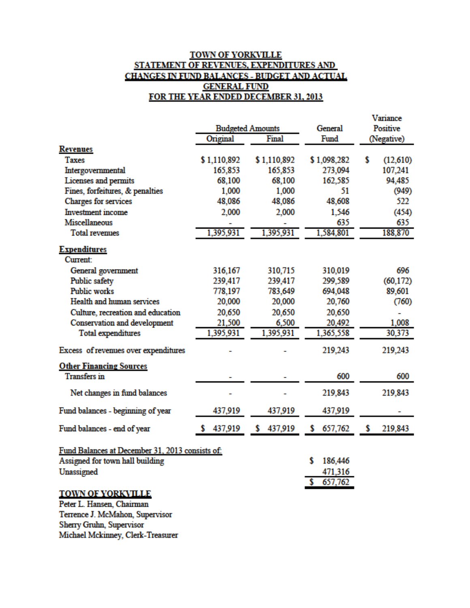### **TOWN OF YORKVILLE** STATEMENT OF REVENUES, EXPENDITURES AND CHANGES IN FUND BALANCES - BUDGET AND ACTUAL **GENERAL FUND** FOR THE YEAR ENDED DECEMBER 31, 2013

|                                                 |                         |               |               | Variance        |            |
|-------------------------------------------------|-------------------------|---------------|---------------|-----------------|------------|
|                                                 | <b>Budgeted Amounts</b> |               | General       | <b>Positive</b> |            |
|                                                 | Original                | Final         | Fund          |                 | (Negative) |
| <b>Revenues</b>                                 |                         |               |               |                 |            |
| <b>Taxes</b>                                    | \$1,110,892             | \$1,110,892   | \$1,098,282   | \$              | (12,610)   |
| Intergovernmental                               | 165,853                 | 165,853       | 273,094       |                 | 107,241    |
| Licenses and permits                            | 68,100                  | 68,100        | 162,585       |                 | 94,485     |
| Fines, forfeitures, & penalties                 | 1,000                   | 1,000         | 51            |                 | (949)      |
| Charges for services                            | 48,086                  | 48,086        | 48,608        |                 | 522        |
| <b>Investment</b> income                        | 2,000                   | 2,000         | 1,546         |                 | (454)      |
| Miscellaneous                                   |                         |               | 635           |                 | 635        |
| <b>Total revenues</b>                           | 1,395,931               | 1,395,931     | 1,584,801     |                 | 188,870    |
| <b>Expenditures</b>                             |                         |               |               |                 |            |
| <b>Current</b>                                  |                         |               |               |                 |            |
| General government                              | 316,167                 | 310,715       | 310,019       |                 | 696        |
| Public safety                                   | 239,417                 | 239,417       | 299,589       |                 | (60, 172)  |
| <b>Public works</b>                             | 778,197                 | 783,649       | 694,048       |                 | 89,601     |
| Health and human services                       | 20,000                  | 20,000        | 20,760        |                 | (760)      |
| Culture, recreation and education               | 20,650                  | 20,650        | 20,650        |                 |            |
| Conservation and development                    | 21,500                  | 6,500         | 20,492        |                 | 1,008      |
| <b>Total expenditures</b>                       | 1,395,931               | 1,395,931     | 1,365,558     |                 | 30,373     |
| Excess of revenues over expenditures            |                         |               | 219,243       |                 | 219,243    |
| <b>Other Financing Sources</b>                  |                         |               |               |                 |            |
| <b>Transfers</b> in                             |                         |               | 600           |                 | 600        |
| Net changes in fund balances                    |                         |               | 219,843       |                 | 219,843    |
| Fund balances - beginning of year               | 437,919                 | 437,919       | 437,919       |                 |            |
| Fund balances - end of year                     | 437,919                 | s.<br>437,919 | 657,762<br>s  | s               | 219,843    |
| Fund Balances at December 31, 2013 consists of: |                         |               |               |                 |            |
| Assigned for town hall building                 |                         |               | 186,446<br>\$ |                 |            |
| Unassigned                                      |                         |               | 471,316       |                 |            |
|                                                 |                         |               | 657,762<br>s. |                 |            |
| <b>TOWN OF YORKVILLE</b>                        |                         |               |               |                 |            |
| Peter L. Hansen, Chairman                       |                         |               |               |                 |            |
| Terrence J. McMahon, Supervisor                 |                         |               |               |                 |            |
| Sherry Gruhn, Supervisor                        |                         |               |               |                 |            |
| Michael Mckinney, Clerk-Treasurer               |                         |               |               |                 |            |
|                                                 |                         |               |               |                 |            |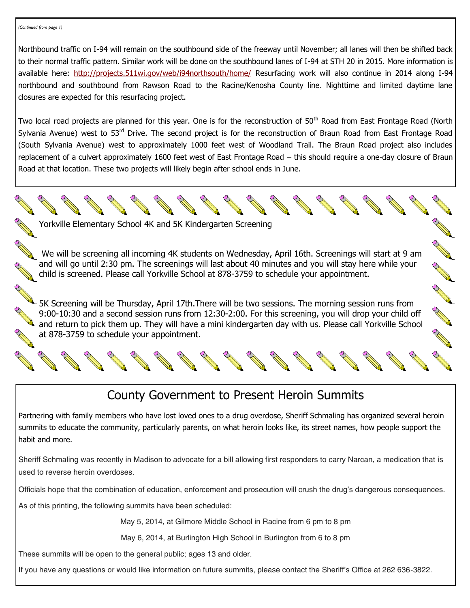Northbound traffic on I-94 will remain on the southbound side of the freeway until November; all lanes will then be shifted back to their normal traffic pattern. Similar work will be done on the southbound lanes of I-94 at STH 20 in 2015. More information is available here: [http://projects.511wi.gov/web/i94northsouth/home/ R](http://projects.511wi.gov/web/i94northsouth/home/)esurfacing work will also continue in 2014 along I-94 northbound and southbound from Rawson Road to the Racine/Kenosha County line. Nighttime and limited daytime lane closures are expected for this resurfacing project.

Two local road projects are planned for this year. One is for the reconstruction of 50<sup>th</sup> Road from East Frontage Road (North Sylvania Avenue) west to 53<sup>rd</sup> Drive. The second project is for the reconstruction of Braun Road from East Frontage Road (South Sylvania Avenue) west to approximately 1000 feet west of Woodland Trail. The Braun Road project also includes replacement of a culvert approximately 1600 feet west of East Frontage Road – this should require a one-day closure of Braun Road at that location. These two projects will likely begin after school ends in June.

Yorkville Elementary School 4K and 5K Kindergarten Screening

 We will be screening all incoming 4K students on Wednesday, April 16th. Screenings will start at 9 am and will go until 2:30 pm. The screenings will last about 40 minutes and you will stay here while your child is screened. Please call Yorkville School at 878-3759 to schedule your appointment.

5K Screening will be Thursday, April 17th.There will be two sessions. The morning session runs from 9:00-10:30 and a second session runs from 12:30-2:00. For this screening, you will drop your child off  $\lambda$  and return to pick them up. They will have a mini kindergarten day with us. Please call Yorkville School at 878-3759 to schedule your appointment.

# County Government to Present Heroin Summits

Partnering with family members who have lost loved ones to a drug overdose, Sheriff Schmaling has organized several heroin summits to educate the community, particularly parents, on what heroin looks like, its street names, how people support the habit and more.

Sheriff Schmaling was recently in Madison to advocate for a bill allowing first responders to carry Narcan, a medication that is used to reverse heroin overdoses.

Officials hope that the combination of education, enforcement and prosecution will crush the drug's dangerous consequences.

As of this printing, the following summits have been scheduled:

May 5, 2014, at Gilmore Middle School in Racine from 6 pm to 8 pm

May 6, 2014, at Burlington High School in Burlington from 6 to 8 pm

These summits will be open to the general public; ages 13 and older.

If you have any questions or would like information on future summits, please contact the Sheriff's Office at 262 636-3822.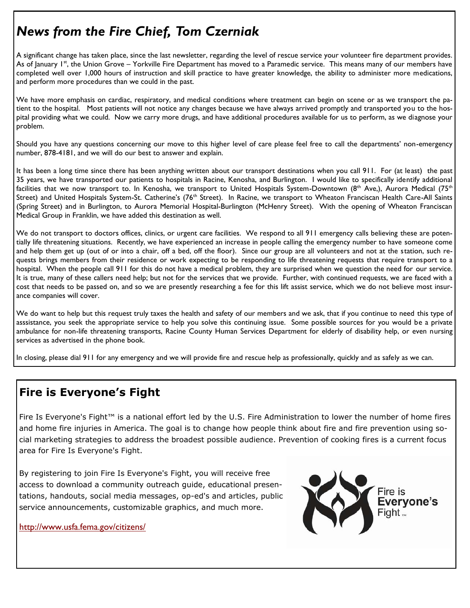# *News from the Fire Chief, Tom Czerniak*

A significant change has taken place, since the last newsletter, regarding the level of rescue service your volunteer fire department provides. As of January 1st, the Union Grove – Yorkville Fire Department has moved to a Paramedic service. This means many of our members have completed well over 1,000 hours of instruction and skill practice to have greater knowledge, the ability to administer more medications, and perform more procedures than we could in the past.

We have more emphasis on cardiac, respiratory, and medical conditions where treatment can begin on scene or as we transport the patient to the hospital. Most patients will not notice any changes because we have always arrived promptly and transported you to the hospital providing what we could. Now we carry more drugs, and have additional procedures available for us to perform, as we diagnose your problem.

Should you have any questions concerning our move to this higher level of care please feel free to call the departments' non-emergency number, 878-4181, and we will do our best to answer and explain.

It has been a long time since there has been anything written about our transport destinations when you call 911. For (at least) the past 35 years, we have transported our patients to hospitals in Racine, Kenosha, and Burlington. I would like to specifically identify additional facilities that we now transport to. In Kenosha, we transport to United Hospitals System-Downtown (8<sup>th</sup> Ave,), Aurora Medical (75<sup>th</sup> Street) and United Hospitals System-St. Catherine's (76<sup>th</sup> Street). In Racine, we transport to Wheaton Franciscan Health Care-All Saints (Spring Street) and in Burlington, to Aurora [Memorial Hospital-Burlington \(](http://www.bing.com/local/details.aspx?lid=YN941x400998489&q=Memorial+Hospital-Burlington+Burlington+WI)McHenry Street). With the opening of Wheaton Franciscan Medical Group in Franklin, we have added this destination as well.

We do not transport to doctors offices, clinics, or urgent care facilities. We respond to all 911 emergency calls believing these are potentially life threatening situations. Recently, we have experienced an increase in people calling the emergency number to have someone come and help them get up (out of or into a chair, off a bed, off the floor). Since our group are all volunteers and not at the station, such requests brings members from their residence or work expecting to be responding to life threatening requests that require transport to a hospital. When the people call 911 for this do not have a medical problem, they are surprised when we question the need for our service. It is true, many of these callers need help; but not for the services that we provide. Further, with continued requests, we are faced with a cost that needs to be passed on, and so we are presently researching a fee for this lift assist service, which we do not believe most insurance companies will cover.

We do want to help but this request truly taxes the health and safety of our members and we ask, that if you continue to need this type of asssistance, you seek the appropriate service to help you solve this continuing issue. Some possible sources for you would be a private ambulance for non-life threatening transports, Racine County Human Services Department for elderly of disability help, or even nursing services as advertised in the phone book.

In closing, please dial 911 for any emergency and we will provide fire and rescue help as professionally, quickly and as safely as we can.

# **Fire is Everyone's Fight**

Fire Is Everyone's Fight™ is a national effort led by the U.S. Fire Administration to lower the number of home fires and home fire injuries in America. The goal is to change how people think about fire and fire prevention using social marketing strategies to address the broadest possible audience. Prevention of cooking fires is a current focus area for Fire Is Everyone's Fight.

By registering to join Fire Is Everyone's Fight, you will receive free access to download a community outreach guide, educational presentations, handouts, social media messages, op-ed's and articles, public service announcements, customizable graphics, and much more.

http://www.usfa.fema.gov/citizens/

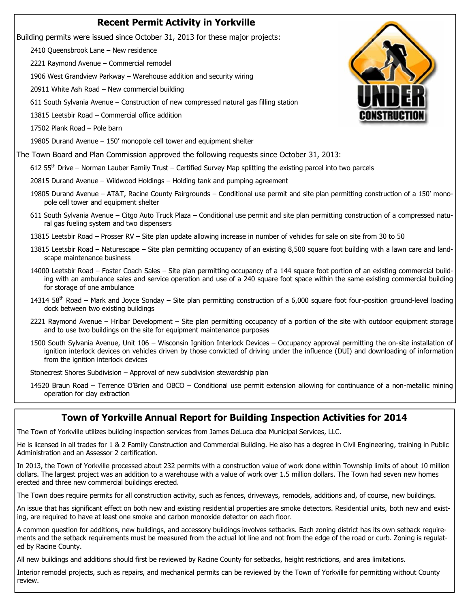### **Recent Permit Activity in Yorkville**

Building permits were issued since October 31, 2013 for these major projects:

2410 Queensbrook Lane – New residence

2221 Raymond Avenue – Commercial remodel

1906 West Grandview Parkway – Warehouse addition and security wiring

20911 White Ash Road – New commercial building

611 South Sylvania Avenue – Construction of new compressed natural gas filling station

13815 Leetsbir Road – Commercial office addition

17502 Plank Road – Pole barn

19805 Durand Avenue – 150' monopole cell tower and equipment shelter

The Town Board and Plan Commission approved the following requests since October 31, 2013:

 $612\,55$ <sup>th</sup> Drive – Norman Lauber Family Trust – Certified Survey Map splitting the existing parcel into two parcels

20815 Durand Avenue – Wildwood Holdings – Holding tank and pumping agreement

- 19805 Durand Avenue AT&T, Racine County Fairgrounds Conditional use permit and site plan permitting construction of a 150' monopole cell tower and equipment shelter
- 611 South Sylvania Avenue Citgo Auto Truck Plaza Conditional use permit and site plan permitting construction of a compressed natural gas fueling system and two dispensers

13815 Leetsbir Road – Prosser RV – Site plan update allowing increase in number of vehicles for sale on site from 30 to 50

- 13815 Leetsbir Road Naturescape Site plan permitting occupancy of an existing 8,500 square foot building with a lawn care and landscape maintenance business
- 14000 Leetsbir Road Foster Coach Sales Site plan permitting occupancy of a 144 square foot portion of an existing commercial building with an ambulance sales and service operation and use of a 240 square foot space within the same existing commercial building for storage of one ambulance
- 14314 58<sup>th</sup> Road Mark and Joyce Sonday Site plan permitting construction of a 6,000 square foot four-position ground-level loading dock between two existing buildings
- 2221 Raymond Avenue Hribar Development Site plan permitting occupancy of a portion of the site with outdoor equipment storage and to use two buildings on the site for equipment maintenance purposes
- 1500 South Sylvania Avenue, Unit 106 Wisconsin Ignition Interlock Devices Occupancy approval permitting the on-site installation of ignition interlock devices on vehicles driven by those convicted of driving under the influence (DUI) and downloading of information from the ignition interlock devices

Stonecrest Shores Subdivision – Approval of new subdivision stewardship plan

14520 Braun Road – Terrence O'Brien and OBCO – Conditional use permit extension allowing for continuance of a non-metallic mining operation for clay extraction

### **Town of Yorkville Annual Report for Building Inspection Activities for 2014**

The Town of Yorkville utilizes building inspection services from James DeLuca dba Municipal Services, LLC.

He is licensed in all trades for 1 & 2 Family Construction and Commercial Building. He also has a degree in Civil Engineering, training in Public Administration and an Assessor 2 certification.

In 2013, the Town of Yorkville processed about 232 permits with a construction value of work done within Township limits of about 10 million dollars. The largest project was an addition to a warehouse with a value of work over 1.5 million dollars. The Town had seven new homes erected and three new commercial buildings erected.

The Town does require permits for all construction activity, such as fences, driveways, remodels, additions and, of course, new buildings.

An issue that has significant effect on both new and existing residential properties are smoke detectors. Residential units, both new and existing, are required to have at least one smoke and carbon monoxide detector on each floor.

A common question for additions, new buildings, and accessory buildings involves setbacks. Each zoning district has its own setback requirements and the setback requirements must be measured from the actual lot line and not from the edge of the road or curb. Zoning is regulated by Racine County.

All new buildings and additions should first be reviewed by Racine County for setbacks, height restrictions, and area limitations.

Interior remodel projects, such as repairs, and mechanical permits can be reviewed by the Town of Yorkville for permitting without County review.

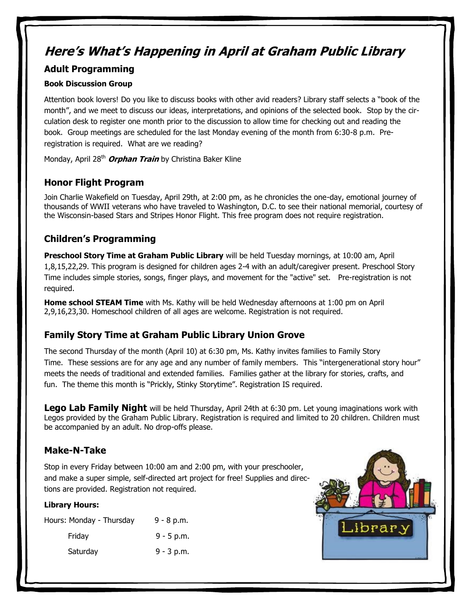# **Here's What's Happening in April at Graham Public Library**

### **Adult Programming**

### **Book Discussion Group**

Attention book lovers! Do you like to discuss books with other avid readers? Library staff selects a "book of the month", and we meet to discuss our ideas, interpretations, and opinions of the selected book. Stop by the circulation desk to register one month prior to the discussion to allow time for checking out and reading the book. Group meetings are scheduled for the last Monday evening of the month from 6:30-8 p.m. Preregistration is required. What are we reading?

Monday, April 28<sup>th</sup> **Orphan Train** by Christina Baker Kline

# **Honor Flight Program**

Join Charlie Wakefield on Tuesday, April 29th, at 2:00 pm, as he chronicles the one-day, emotional journey of thousands of WWII veterans who have traveled to Washington, D.C. to see their national memorial, courtesy of the Wisconsin-based Stars and Stripes Honor Flight. This free program does not require registration.

# **Children's Programming**

**Preschool Story Time at Graham Public Library** will be held Tuesday mornings, at 10:00 am, April 1,8,15,22,29. This program is designed for children ages 2-4 with an adult/caregiver present. Preschool Story Time includes simple stories, songs, finger plays, and movement for the "active" set. Pre-registration is not required.

**Home school STEAM Time** with Ms. Kathy will be held Wednesday afternoons at 1:00 pm on April 2,9,16,23,30. Homeschool children of all ages are welcome. Registration is not required.

# **Family Story Time at Graham Public Library Union Grove**

The second Thursday of the month (April 10) at 6:30 pm, Ms. Kathy invites families to Family Story Time. These sessions are for any age and any number of family members. This "intergenerational story hour" meets the needs of traditional and extended families. Families gather at the library for stories, crafts, and fun. The theme this month is "Prickly, Stinky Storytime". Registration IS required.

**Lego Lab Family Night** will be held Thursday, April 24th at 6:30 pm. Let young imaginations work with Legos provided by the Graham Public Library. Registration is required and limited to 20 children. Children must be accompanied by an adult. No drop-offs please.

### **Make-N-Take**

Stop in every Friday between 10:00 am and 2:00 pm, with your preschooler, and make a super simple, self-directed art project for free! Supplies and directions are provided. Registration not required.

### **Library Hours:**

| Hours: Monday - Thursday | $9 - 8 p.m.$ |
|--------------------------|--------------|
| Friday                   | $9 - 5$ p.m. |
| Saturday                 | $9 - 3$ p.m. |

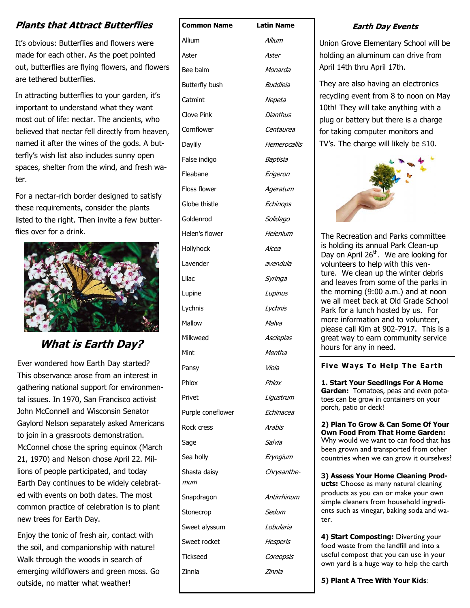# **Plants that Attract Butterflies**

It's obvious: Butterflies and flowers were made for each other. As the poet pointed out, butterflies are flying flowers, and flowers are tethered butterflies.

In attracting butterflies to your garden, it's important to understand what they want most out of life: nectar. The ancients, who believed that nectar fell directly from heaven, named it after the wines of the gods. A butterfly's wish list also includes sunny open spaces, shelter from the wind, and fresh water.

For a nectar-rich border designed to satisfy these requirements, consider the plants listed to the right. Then invite a few butterflies over for a drink.



**What is Earth Day?** 

Ever wondered how Earth Day started? This observance arose from an interest in gathering national support for environmental issues. In 1970, San Francisco activist John McConnell and Wisconsin Senator Gaylord Nelson separately asked Americans to join in a grassroots demonstration. McConnel chose the spring equinox (March 21, 1970) and Nelson chose April 22. Millions of people participated, and today Earth Day continues to be widely celebrated with events on both dates. The most common practice of celebration is to plant new trees for Earth Day.

Enjoy the tonic of fresh air, contact with the soil, and companionship with nature! Walk through the woods in search of emerging wildflowers and green moss. Go outside, no matter what weather!

| <b>Common Name</b>  | Latin Name   |
|---------------------|--------------|
| Allium              | Allium       |
| Aster               | Aster        |
| Bee balm            | Monarda      |
| Butterfly bush      | Buddleia     |
| Catmint             | Nepeta       |
| Clove Pink          | Dianthus     |
| Cornflower          | Centaurea    |
| Daylily             | Hemerocallis |
| False indigo        | Baptisia     |
| Fleabane            | Erigeron     |
| Floss flower        | Ageratum     |
| Globe thistle       | Echinops     |
| Goldenrod           | Solidago     |
| Helen's flower      | Helenium     |
| Hollyhock           | Alcea        |
| Lavender            | avendula     |
| Lilac               | Syringa      |
| Lupine              | Lupinus      |
| Lychnis             | Lychnis      |
| Mallow              | Malva        |
| Milkweed            | Asclepias    |
| Mint                | Mentha       |
| Pansy               | Viola        |
| Phlox               | Phlox        |
| Privet              | Ligustrum    |
| Purple coneflower   | Echinacea    |
| Rock cress          | Arabis       |
| Sage                | Salvia       |
| Sea holly           | Eryngium     |
| Shasta daisy<br>mum | Chrysanthe-  |
| Snapdragon          | Antirrhinum  |
| Stonecrop           | Sedum        |
| Sweet alyssum       | Lobularia    |
| Sweet rocket        | Hesperis     |
| Tickseed            | Coreopsis    |
| Zinnia              | Zinnia       |
|                     |              |

### **Earth Day Events**

Union Grove Elementary School will be holding an aluminum can drive from April 14th thru April 17th.

They are also having an electronics recycling event from 8 to noon on May 10th! They will take anything with a plug or battery but there is a charge for taking computer monitors and TV's. The charge will likely be \$10.



The Recreation and Parks committee is holding its annual Park Clean-up Day on April 26<sup>th</sup>. We are looking for volunteers to help with this venture. We clean up the winter debris and leaves from some of the parks in the morning (9:00 a.m.) and at noon we all meet back at Old Grade School Park for a lunch hosted by us. For more information and to volunteer, please call Kim at 902-7917. This is a great way to earn community service hours for any in need.

#### **[Five Ways To Help The Earth](http://tabletalk.safeway.ca/five-ways-to-help-the-earth-this-earth-day/)**

**1. Start Your Seedlings For A Home Garden:** Tomatoes, peas and even potatoes can be grow in containers on your porch, patio or deck!

**2) Plan To Grow & Can Some Of Your Own Food From That Home Garden:**  Why would we want to can food that has been grown and transported from other countries when we can grow it ourselves?

**3) Assess Your Home Cleaning Products:** Choose as many natural cleaning products as you can or make your own simple cleaners from household ingredients such as vinegar, baking soda and water.

**4) Start Composting:** Diverting your food waste from the landfill and into a useful compost that you can use in your own yard is a huge way to help the earth

**5) Plant A Tree With Your Kids**: